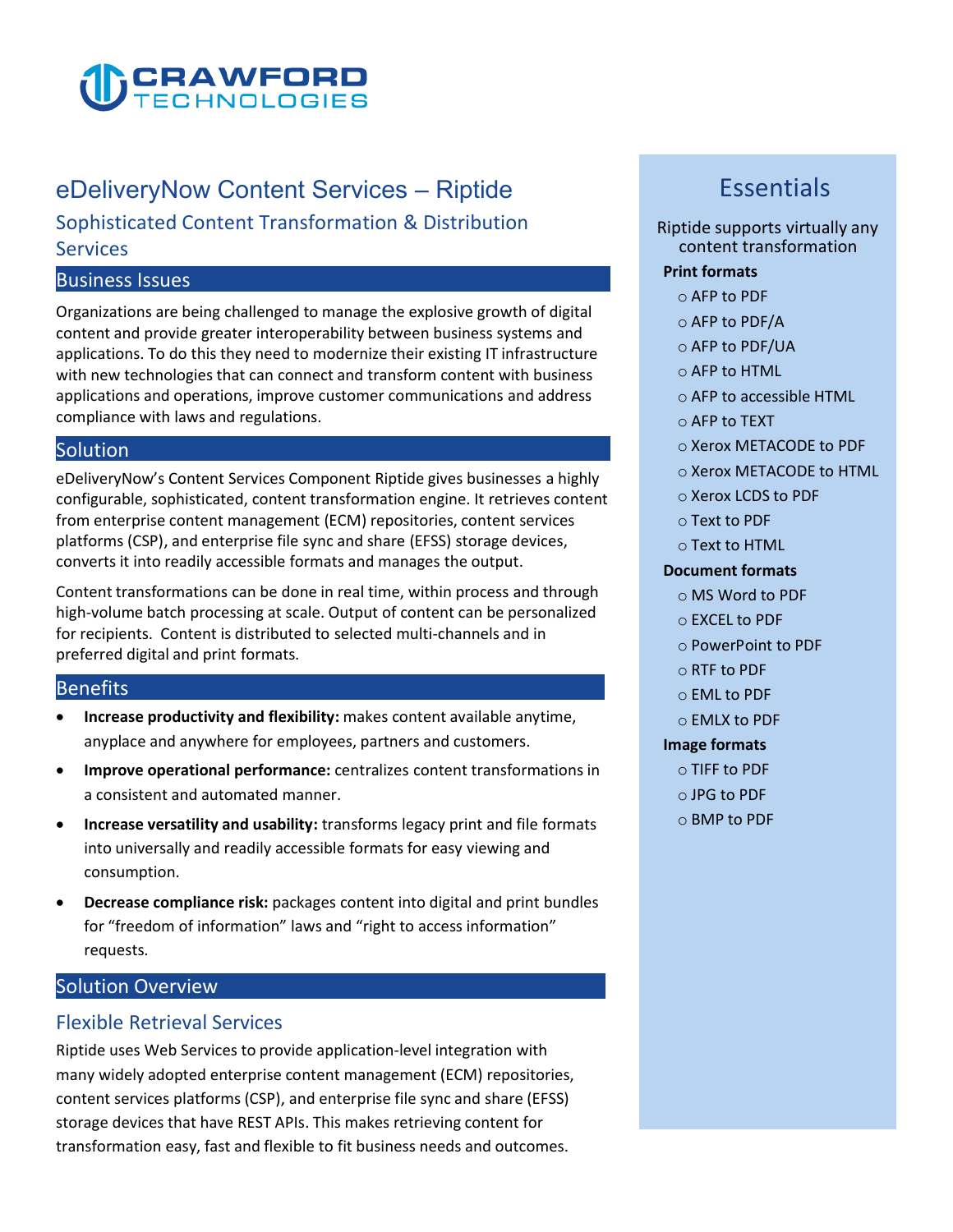

# eDeliveryNow Content Services – Riptide

**Sophisticated Content Transformation & Distribution Services** 

#### **Business Issues**

**Organizations are being challenged to manage the explosive growth of digital content and provide greater interoperability between business systems and applications. To do this they need to modernize their existing IT infrastructure with new technologies that can connect and transform content with business applications and operations, improve customer communications and address compliance with laws and regulations.**

#### **Solution**

**eDeliveryNow's Content Services Component Riptide gives businesses a highly configurable, sophisticated, content transformation engine. It retrieves content from enterprise content management (ECM) repositories, content services platforms (CSP), and enterprise file sync and share (EFSS) storage devices, converts it into readily accessible formats and manages the output.**

**Content transformations can be done in real time, within process and through high-volume batch processing at scale. Output of content can be personalized for recipients. Content is distributed to selected multi-channels and in preferred digital and print formats.** 

#### **Benefits**

- **Increase productivity and flexibility: makes content available anytime, anyplace and anywhere for employees, partners and customers.**
- **Improve operational performance: centralizes content transformations in a consistent and automated manner.**
- **Increase versatility and usability: transforms legacy print and file formats into universally and readily accessible formats for easy viewing and consumption.**
- **Decrease compliance risk: packages content into digital and print bundles for "freedom of information" laws and "right to access information" requests.**

## **Solution Overview**

## **Flexible Retrieval Services**

**Riptide uses Web Services to provide application-level integration with many widely adopted enterprise content management (ECM) repositories, content services platforms (CSP), and enterprise file sync and share (EFSS) storage devices that have REST APIs. This makes retrieving content for transformation easy, fast and flexible to fit business needs and outcomes.**

## **Essentials**

#### **Riptide supports virtually any content transformation**

#### **Print formats**

- **o AFP to PDF**
- **o AFP to PDF/A**
- **o AFP to PDF/UA**
- **o AFP to HTML**
- **o AFP to accessible HTML**
- **o AFP to TEXT**
- **o Xerox METACODE to PDF**
- **o Xerox METACODE to HTML**
- **o Xerox LCDS to PDF**
- **o Text to PDF**
- **o Text to HTML**

#### **Document formats**

- **o MS Word to PDF**
- **o EXCEL to PDF**
- **o PowerPoint to PDF**
- **o RTF to PDF**
- **o EML to PDF**
- **o EMLX to PDF**

#### **Image formats**

- **o TIFF to PDF**
- **o JPG to PDF**
- **o BMP to PDF**